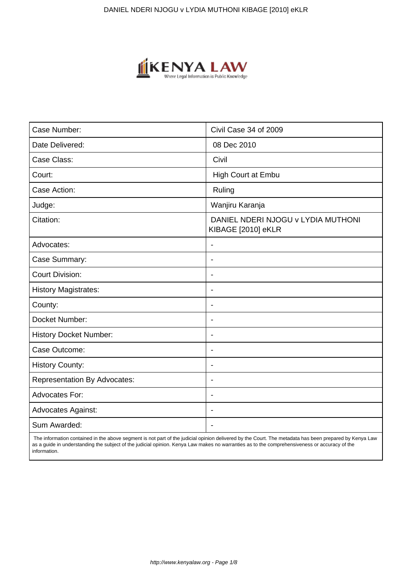

| Case Number:                        | Civil Case 34 of 2009                                    |
|-------------------------------------|----------------------------------------------------------|
| Date Delivered:                     | 08 Dec 2010                                              |
| Case Class:                         | Civil                                                    |
| Court:                              | High Court at Embu                                       |
| Case Action:                        | Ruling                                                   |
| Judge:                              | Wanjiru Karanja                                          |
| Citation:                           | DANIEL NDERI NJOGU v LYDIA MUTHONI<br>KIBAGE [2010] eKLR |
| Advocates:                          | $\blacksquare$                                           |
| Case Summary:                       | $\blacksquare$                                           |
| <b>Court Division:</b>              | $\overline{\phantom{a}}$                                 |
| <b>History Magistrates:</b>         | $\blacksquare$                                           |
| County:                             | $\overline{\phantom{a}}$                                 |
| Docket Number:                      | $\blacksquare$                                           |
| <b>History Docket Number:</b>       | $\blacksquare$                                           |
| Case Outcome:                       | $\overline{\phantom{a}}$                                 |
| <b>History County:</b>              | $\blacksquare$                                           |
| <b>Representation By Advocates:</b> | $\overline{\phantom{a}}$                                 |
| <b>Advocates For:</b>               | $\overline{\phantom{a}}$                                 |
| <b>Advocates Against:</b>           | $\blacksquare$                                           |
| Sum Awarded:                        |                                                          |

 The information contained in the above segment is not part of the judicial opinion delivered by the Court. The metadata has been prepared by Kenya Law as a guide in understanding the subject of the judicial opinion. Kenya Law makes no warranties as to the comprehensiveness or accuracy of the information.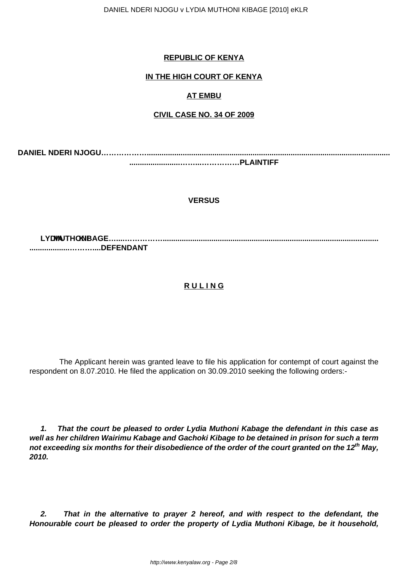DANIEL NDERI NJOGU v LYDIA MUTHONI KIBAGE [2010] eKLR

## **REPUBLIC OF KENYA**

# **IN THE HIGH COURT OF KENYA**

# **AT EMBU**

## **CIVIL CASE NO. 34 OF 2009**

**DANIEL NDERI NJOGU………………................................................................................................................... ........................……...……………PLAINTIFF**

## **VERSUS**

**LYDIA MUTHONI KIBAGE…....……………...................................................................................................... ...................………....DEFENDANT**

## **R U L I N G**

 The Applicant herein was granted leave to file his application for contempt of court against the respondent on 8.07.2010. He filed the application on 30.09.2010 seeking the following orders:-

**1. That the court be pleased to order Lydia Muthoni Kabage the defendant in this case as well as her children Wairimu Kabage and Gachoki Kibage to be detained in prison for such a term not exceeding six months for their disobedience of the order of the court granted on the 12th May, 2010.**

**2. That in the alternative to prayer 2 hereof, and with respect to the defendant, the Honourable court be pleased to order the property of Lydia Muthoni Kibage, be it household,**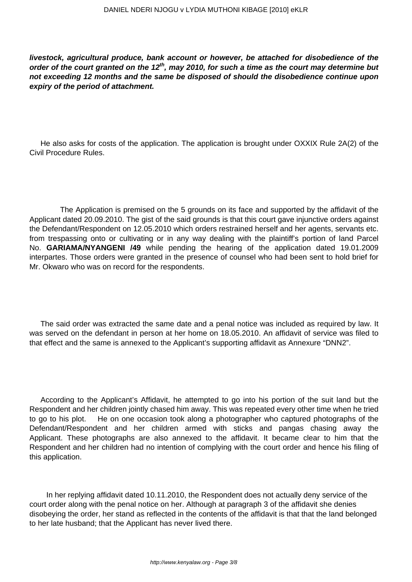**livestock, agricultural produce, bank account or however, be attached for disobedience of the order of the court granted on the 12th, may 2010, for such a time as the court may determine but not exceeding 12 months and the same be disposed of should the disobedience continue upon expiry of the period of attachment.**

He also asks for costs of the application. The application is brought under OXXIX Rule 2A(2) of the Civil Procedure Rules.

 The Application is premised on the 5 grounds on its face and supported by the affidavit of the Applicant dated 20.09.2010. The gist of the said grounds is that this court gave injunctive orders against the Defendant/Respondent on 12.05.2010 which orders restrained herself and her agents, servants etc. from trespassing onto or cultivating or in any way dealing with the plaintiff's portion of land Parcel No. **GARIAMA/NYANGENI /49** while pending the hearing of the application dated 19.01.2009 interpartes. Those orders were granted in the presence of counsel who had been sent to hold brief for Mr. Okwaro who was on record for the respondents.

The said order was extracted the same date and a penal notice was included as required by law. It was served on the defendant in person at her home on 18.05.2010. An affidavit of service was filed to that effect and the same is annexed to the Applicant's supporting affidavit as Annexure "DNN2".

According to the Applicant's Affidavit, he attempted to go into his portion of the suit land but the Respondent and her children jointly chased him away. This was repeated every other time when he tried to go to his plot. He on one occasion took along a photographer who captured photographs of the Defendant/Respondent and her children armed with sticks and pangas chasing away the Applicant. These photographs are also annexed to the affidavit. It became clear to him that the Respondent and her children had no intention of complying with the court order and hence his filing of this application.

 In her replying affidavit dated 10.11.2010, the Respondent does not actually deny service of the court order along with the penal notice on her. Although at paragraph 3 of the affidavit she denies disobeying the order, her stand as reflected in the contents of the affidavit is that that the land belonged to her late husband; that the Applicant has never lived there.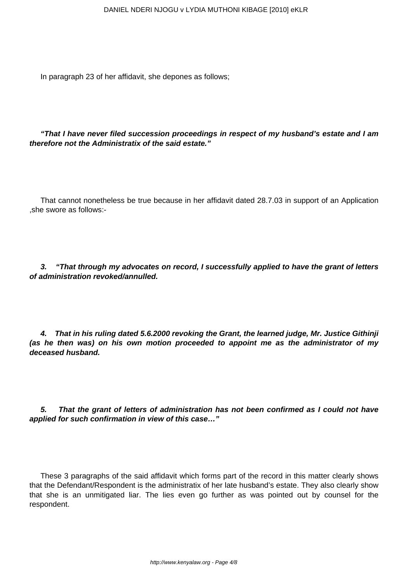In paragraph 23 of her affidavit, she depones as follows;

**"That I have never filed succession proceedings in respect of my husband's estate and I am therefore not the Administratix of the said estate."**

That cannot nonetheless be true because in her affidavit dated 28.7.03 in support of an Application ,she swore as follows:-

**3. "That through my advocates on record, I successfully applied to have the grant of letters of administration revoked/annulled.**

**4. That in his ruling dated 5.6.2000 revoking the Grant, the learned judge, Mr. Justice Githinji (as he then was) on his own motion proceeded to appoint me as the administrator of my deceased husband.**

**5. That the grant of letters of administration has not been confirmed as I could not have applied for such confirmation in view of this case…"**

These 3 paragraphs of the said affidavit which forms part of the record in this matter clearly shows that the Defendant/Respondent is the administratix of her late husband's estate. They also clearly show that she is an unmitigated liar. The lies even go further as was pointed out by counsel for the respondent.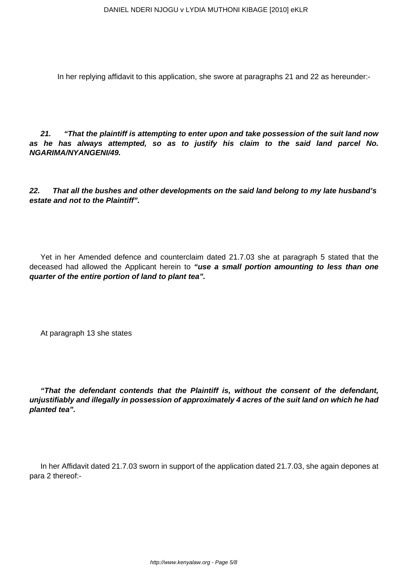In her replying affidavit to this application, she swore at paragraphs 21 and 22 as hereunder:-

**21. "That the plaintiff is attempting to enter upon and take possession of the suit land now as he has always attempted, so as to justify his claim to the said land parcel No. NGARIMA/NYANGENI/49.**

**22. That all the bushes and other developments on the said land belong to my late husband's estate and not to the Plaintiff".**

Yet in her Amended defence and counterclaim dated 21.7.03 she at paragraph 5 stated that the deceased had allowed the Applicant herein to **"use a small portion amounting to less than one quarter of the entire portion of land to plant tea".**

At paragraph 13 she states

**"That the defendant contends that the Plaintiff is, without the consent of the defendant, unjustifiably and illegally in possession of approximately 4 acres of the suit land on which he had planted tea".**

In her Affidavit dated 21.7.03 sworn in support of the application dated 21.7.03, she again depones at para 2 thereof:-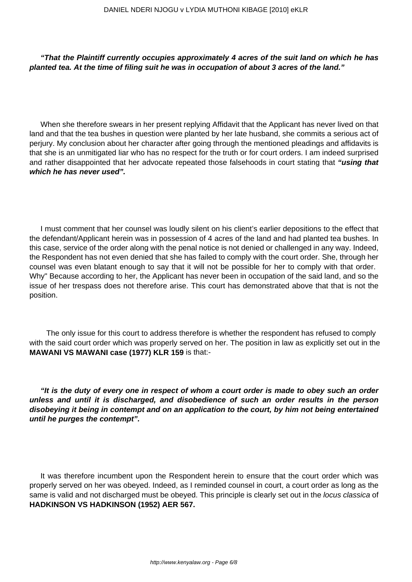#### **"That the Plaintiff currently occupies approximately 4 acres of the suit land on which he has planted tea. At the time of filing suit he was in occupation of about 3 acres of the land."**

When she therefore swears in her present replying Affidavit that the Applicant has never lived on that land and that the tea bushes in question were planted by her late husband, she commits a serious act of perjury. My conclusion about her character after going through the mentioned pleadings and affidavits is that she is an unmitigated liar who has no respect for the truth or for court orders. I am indeed surprised and rather disappointed that her advocate repeated those falsehoods in court stating that **"using that which he has never used".**

I must comment that her counsel was loudly silent on his client's earlier depositions to the effect that the defendant/Applicant herein was in possession of 4 acres of the land and had planted tea bushes. In this case, service of the order along with the penal notice is not denied or challenged in any way. Indeed, the Respondent has not even denied that she has failed to comply with the court order. She, through her counsel was even blatant enough to say that it will not be possible for her to comply with that order. Why" Because according to her, the Applicant has never been in occupation of the said land, and so the issue of her trespass does not therefore arise. This court has demonstrated above that that is not the position.

 The only issue for this court to address therefore is whether the respondent has refused to comply with the said court order which was properly served on her. The position in law as explicitly set out in the **MAWANI VS MAWANI case (1977) KLR 159** is that:-

**"It is the duty of every one in respect of whom a court order is made to obey such an order unless and until it is discharged, and disobedience of such an order results in the person disobeying it being in contempt and on an application to the court, by him not being entertained until he purges the contempt".**

It was therefore incumbent upon the Respondent herein to ensure that the court order which was properly served on her was obeyed. Indeed, as I reminded counsel in court, a court order as long as the same is valid and not discharged must be obeyed. This principle is clearly set out in the locus classica of **HADKINSON VS HADKINSON (1952) AER 567.**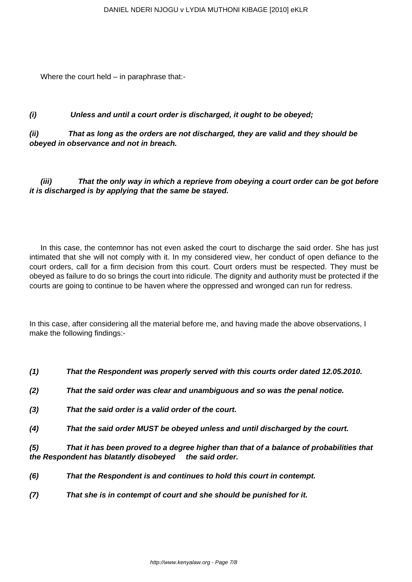Where the court held – in paraphrase that:-

## **(i) Unless and until a court order is discharged, it ought to be obeyed;**

**(ii) That as long as the orders are not discharged, they are valid and they should be obeyed in observance and not in breach.**

**(iii) That the only way in which a reprieve from obeying a court order can be got before it is discharged is by applying that the same be stayed.**

In this case, the contemnor has not even asked the court to discharge the said order. She has just intimated that she will not comply with it. In my considered view, her conduct of open defiance to the court orders, call for a firm decision from this court. Court orders must be respected. They must be obeyed as failure to do so brings the court into ridicule. The dignity and authority must be protected if the courts are going to continue to be haven where the oppressed and wronged can run for redress.

In this case, after considering all the material before me, and having made the above observations, I make the following findings:-

- **(1) That the Respondent was properly served with this courts order dated 12.05.2010.**
- **(2) That the said order was clear and unambiguous and so was the penal notice.**
- **(3) That the said order is a valid order of the court.**
- **(4) That the said order MUST be obeyed unless and until discharged by the court.**

**(5) That it has been proved to a degree higher than that of a balance of probabilities that the Respondent has blatantly disobeyed the said order.**

- **(6) That the Respondent is and continues to hold this court in contempt.**
- **(7) That she is in contempt of court and she should be punished for it.**